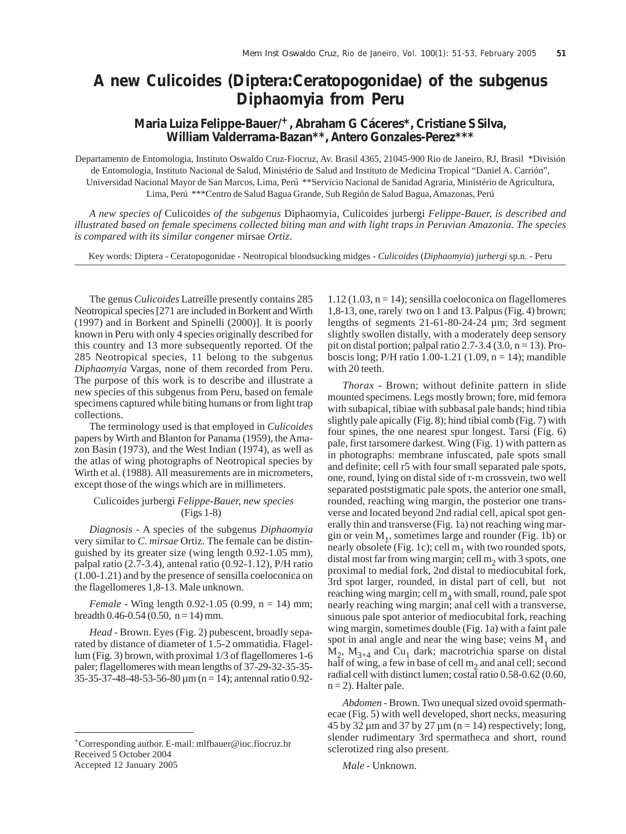## **A new** *Culicoides* **(Diptera:Ceratopogonidae) of the subgenus** *Diphaomyia* **from Peru**

## **Maria Luiza Felippe-Bauer/+, Abraham G Cáceres\*, Cristiane S Silva, William Valderrama-Bazan\*\*, Antero Gonzales-Perez\*\*\***

Departamento de Entomologia, Instituto Oswaldo Cruz-Fiocruz, Av. Brasil 4365, 21045-900 Rio de Janeiro, RJ, Brasil \*División de Entomologia, Instituto Nacional de Salud, Ministério de Salud and Instituto de Medicina Tropical "Daniel A. Carrión", Universidad Nacional Mayor de San Marcos, Lima, Perú \*\*Servicio Nacional de Sanidad Agraria, Ministério de Agricultura, Lima, Perú \*\*\*Centro de Salud Bagua Grande, Sub Región de Salud Bagua, Amazonas, Perú

*A new species of* Culicoides *of the subgenus* Diphaomyia*,* Culicoides jurbergi *Felippe-Bauer, is described and illustrated based on female specimens collected biting man and with light traps in Peruvian Amazonia. The species is compared with its similar congener* mirsae *Ortiz*.

Key words: Diptera - Ceratopogonidae - Neotropical bloodsucking midges - *Culicoides* (*Diphaomyia*) *jurbergi* sp.n. - Peru

The genus *Culicoides* Latreille presently contains 285 Neotropical species [271 are included in Borkent and Wirth (1997) and in Borkent and Spinelli (2000)]. It is poorly known in Peru with only 4 species originally described for this country and 13 more subsequently reported. Of the 285 Neotropical species, 11 belong to the subgenus *Diphaomyia* Vargas, none of them recorded from Peru. The purpose of this work is to describe and illustrate a new species of this subgenus from Peru, based on female specimens captured while biting humans or from light trap collections.

The terminology used is that employed in *Culicoides* papers by Wirth and Blanton for Panama (1959), the Amazon Basin (1973), and the West Indian (1974), as well as the atlas of wing photographs of Neotropical species by Wirth et al. (1988). All measurements are in micrometers, except those of the wings which are in millimeters.

Culicoides jurbergi *Felippe-Bauer, new species* (Figs 1-8)

*Diagnosis* - A species of the subgenus *Diphaomyia* very similar to *C. mirsae* Ortiz. The female can be distinguished by its greater size (wing length 0.92-1.05 mm), palpal ratio (2.7-3.4), antenal ratio (0.92-1.12), P/H ratio (1.00-1.21) and by the presence of sensilla coeloconica on the flagellomeres 1,8-13. Male unknown.

*Female* - Wing length 0.92-1.05 (0.99, n = 14) mm; breadth  $0.46 - 0.54$  (0.50, n = 14) mm.

*Head* - Brown. Eyes (Fig. 2) pubescent, broadly separated by distance of diameter of 1.5-2 ommatidia. Flagellum (Fig. 3) brown, with proximal 1/3 of flagellomeres 1-6 paler; flagellomeres with mean lengths of 37-29-32-35-35- 35-35-37-48-48-53-56-80 µm (n = 14); antennal ratio 0.92 $1.12$  (1.03, n = 14); sensilla coeloconica on flagellomeres 1,8-13, one, rarely two on 1 and 13. Palpus (Fig. 4) brown; lengths of segments 21-61-80-24-24 µm; 3rd segment slightly swollen distally, with a moderately deep sensory pit on distal portion; palpal ratio 2.7-3.4 (3.0,  $n = 13$ ). Proboscis long; P/H ratio 1.00-1.21 (1.09,  $n = 14$ ); mandible with 20 teeth.

*Thorax* - Brown; without definite pattern in slide mounted specimens. Legs mostly brown; fore, mid femora with subapical, tibiae with subbasal pale bands; hind tibia slightly pale apically (Fig. 8); hind tibial comb (Fig. 7) with four spines, the one nearest spur longest. Tarsi (Fig. 6) pale, first tarsomere darkest. Wing (Fig. 1) with pattern as in photographs: membrane infuscated, pale spots small and definite; cell r5 with four small separated pale spots, one, round, lying on distal side of r-m crossvein, two well separated poststigmatic pale spots, the anterior one small, rounded, reaching wing margin, the posterior one transverse and located beyond 2nd radial cell, apical spot generally thin and transverse (Fig. 1a) not reaching wing margin or vein  $M_1$ , sometimes large and rounder (Fig. 1b) or nearly obsolete (Fig. 1c); cell  $m_1$  with two rounded spots, distal most far from wing margin; cell m<sub>2</sub> with 3 spots, one proximal to medial fork, 2nd distal to mediocubital fork, 3rd spot larger, rounded, in distal part of cell, but not reaching wing margin; cell  $m_4$  with small, round, pale spot nearly reaching wing margin; anal cell with a transverse, sinuous pale spot anterior of mediocubital fork, reaching wing margin, sometimes double (Fig. 1a) with a faint pale spot in anal angle and near the wing base; veins  $M_1$  and  $M_2$ ,  $M_{3+4}$  and Cu<sub>1</sub> dark; macrotrichia sparse on distal half of wing, a few in base of cell  $m<sub>2</sub>$  and anal cell; second radial cell with distinct lumen; costal ratio 0.58-0.62 (0.60,  $n = 2$ ). Halter pale.

*Abdomen* - Brown. Two unequal sized ovoid spermathecae (Fig. 5) with well developed, short necks, measuring 45 by 32  $\mu$ m and 37 by 27  $\mu$ m (n = 14) respectively; long, slender rudimentary 3rd spermatheca and short, round sclerotized ring also present.

*Male* - Unknown.

<sup>+</sup>Corresponding author. E-mail: mlfbauer@ioc.fiocruz.br Received 5 October 2004 Accepted 12 January 2005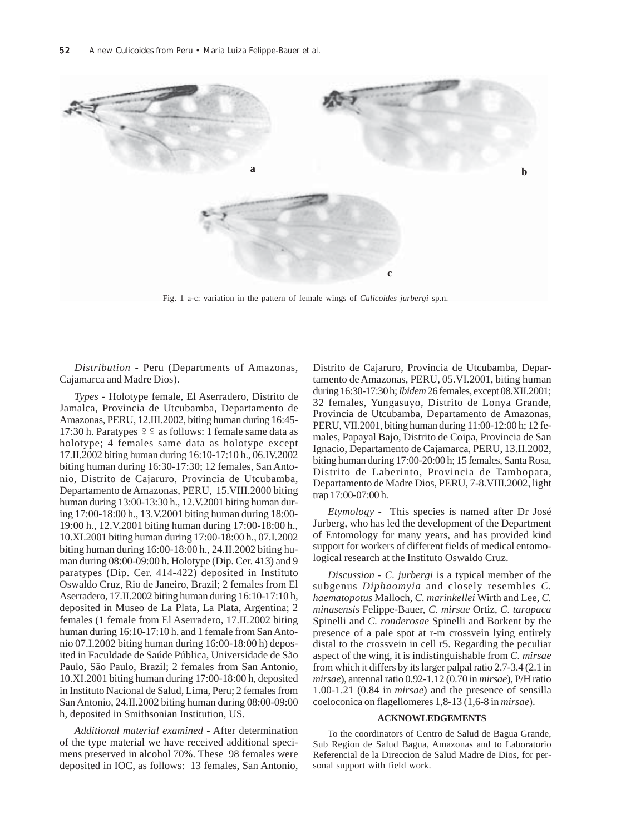

Fig. 1 a-c: variation in the pattern of female wings of *Culicoides jurbergi* sp.n.

*Distribution* - Peru (Departments of Amazonas, Cajamarca and Madre Dios).

*Types* - Holotype female, El Aserradero, Distrito de Jamalca, Provincia de Utcubamba, Departamento de Amazonas, PERU, 12.III.2002, biting human during 16:45- 17:30 h. Paratypes ♀♀ as follows: 1 female same data as holotype; 4 females same data as holotype except 17.II.2002 biting human during 16:10-17:10 h., 06.IV.2002 biting human during 16:30-17:30; 12 females, San Antonio, Distrito de Cajaruro, Provincia de Utcubamba, Departamento de Amazonas, PERU, 15.VIII.2000 biting human during 13:00-13:30 h., 12.V.2001 biting human during 17:00-18:00 h., 13.V.2001 biting human during 18:00- 19:00 h., 12.V.2001 biting human during 17:00-18:00 h., 10.XI.2001 biting human during 17:00-18:00 h., 07.I.2002 biting human during 16:00-18:00 h., 24.II.2002 biting human during 08:00-09:00 h. Holotype (Dip. Cer. 413) and 9 paratypes (Dip. Cer. 414-422) deposited in Instituto Oswaldo Cruz, Rio de Janeiro, Brazil; 2 females from El Aserradero, 17.II.2002 biting human during 16:10-17:10 h, deposited in Museo de La Plata, La Plata, Argentina; 2 females (1 female from El Aserradero, 17.II.2002 biting human during 16:10-17:10 h. and 1 female from San Antonio 07.I.2002 biting human during 16:00-18:00 h) deposited in Faculdade de Saúde Pública, Universidade de São Paulo, São Paulo, Brazil; 2 females from San Antonio, 10.XI.2001 biting human during 17:00-18:00 h, deposited in Instituto Nacional de Salud, Lima, Peru; 2 females from San Antonio, 24.II.2002 biting human during 08:00-09:00 h, deposited in Smithsonian Institution, US.

*Additional material examined* - After determination of the type material we have received additional specimens preserved in alcohol 70%. These 98 females were deposited in IOC, as follows: 13 females, San Antonio, Distrito de Cajaruro, Provincia de Utcubamba, Departamento de Amazonas, PERU, 05.VI.2001, biting human during 16:30-17:30 h; *Ibidem* 26 females, except 08.XII.2001; 32 females, Yungasuyo, Distrito de Lonya Grande, Provincia de Utcubamba, Departamento de Amazonas, PERU, VII.2001, biting human during 11:00-12:00 h; 12 females, Papayal Bajo, Distrito de Coipa, Provincia de San Ignacio, Departamento de Cajamarca, PERU, 13.II.2002, biting human during 17:00-20:00 h; 15 females, Santa Rosa, Distrito de Laberinto, Provincia de Tambopata, Departamento de Madre Dios, PERU, 7-8.VIII.2002, light trap 17:00-07:00 h.

*Etymology* - This species is named after Dr José Jurberg, who has led the development of the Department of Entomology for many years, and has provided kind support for workers of different fields of medical entomological research at the Instituto Oswaldo Cruz.

*Discussion* - *C. jurbergi* is a typical member of the subgenus *Diphaomyia* and closely resembles *C. haematopotus* Malloch, *C. marinkellei* Wirth and Lee, *C. minasensis* Felippe-Bauer, *C. mirsae* Ortiz, *C. tarapaca* Spinelli and *C. ronderosae* Spinelli and Borkent by the presence of a pale spot at r-m crossvein lying entirely distal to the crossvein in cell r5. Regarding the peculiar aspect of the wing, it is indistinguishable from *C. mirsae* from which it differs by its larger palpal ratio 2.7-3.4 (2.1 in *mirsae*), antennal ratio 0.92-1.12 (0.70 in *mirsae*), P/H ratio 1.00-1.21 (0.84 in *mirsae*) and the presence of sensilla coeloconica on flagellomeres 1,8-13 (1,6-8 in *mirsae*).

## **ACKNOWLEDGEMENTS**

To the coordinators of Centro de Salud de Bagua Grande, Sub Region de Salud Bagua, Amazonas and to Laboratorio Referencial de la Direccion de Salud Madre de Dios, for personal support with field work.